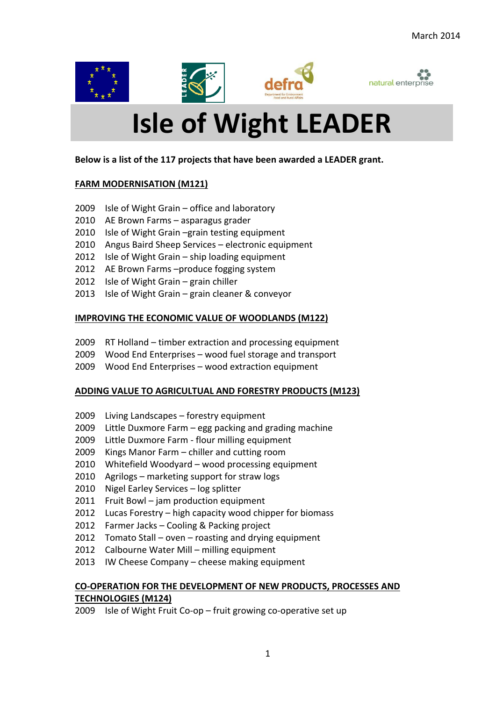







# **Isle of Wight LEADER**

### **Below is a list of the 117 projects that have been awarded a LEADER grant.**

## **FARM MODERNISATION (M121)**

- 2009 Isle of Wight Grain office and laboratory
- 2010 AE Brown Farms asparagus grader
- 2010 Isle of Wight Grain –grain testing equipment
- 2010 Angus Baird Sheep Services electronic equipment
- 2012 Isle of Wight Grain ship loading equipment
- 2012 AE Brown Farms –produce fogging system
- 2012 Isle of Wight Grain grain chiller
- 2013 Isle of Wight Grain grain cleaner & conveyor

# **IMPROVING THE ECONOMIC VALUE OF WOODLANDS (M122)**

- 2009 RT Holland timber extraction and processing equipment
- 2009 Wood End Enterprises wood fuel storage and transport
- 2009 Wood End Enterprises wood extraction equipment

# **ADDING VALUE TO AGRICULTUAL AND FORESTRY PRODUCTS (M123)**

- 2009 Living Landscapes forestry equipment
- 2009 Little Duxmore Farm egg packing and grading machine
- 2009 Little Duxmore Farm flour milling equipment
- 2009 Kings Manor Farm chiller and cutting room
- 2010 Whitefield Woodyard wood processing equipment
- 2010 Agrilogs marketing support for straw logs
- 2010 Nigel Earley Services log splitter
- 2011 Fruit Bowl jam production equipment
- 2012 Lucas Forestry high capacity wood chipper for biomass
- 2012 Farmer Jacks Cooling & Packing project
- 2012 Tomato Stall oven roasting and drying equipment
- 2012 Calbourne Water Mill milling equipment
- 2013 IW Cheese Company cheese making equipment

# **CO-OPERATION FOR THE DEVELOPMENT OF NEW PRODUCTS, PROCESSES AND TECHNOLOGIES (M124)**

2009 Isle of Wight Fruit Co-op – fruit growing co-operative set up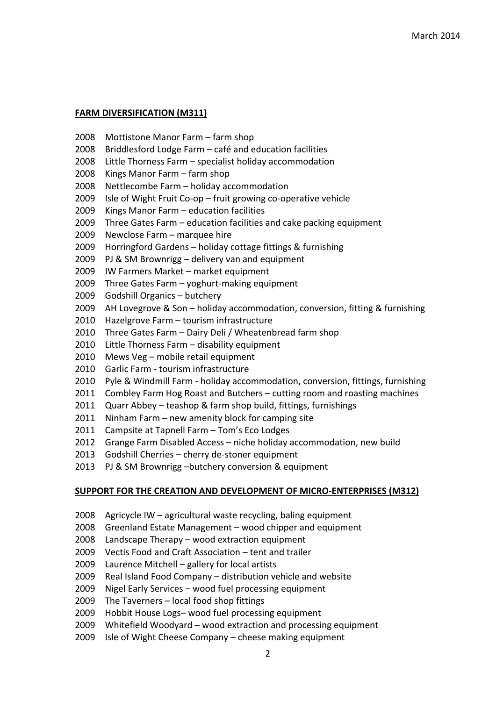### **FARM DIVERSIFICATION (M311)**

- Mottistone Manor Farm farm shop
- Briddlesford Lodge Farm café and education facilities
- Little Thorness Farm specialist holiday accommodation
- Kings Manor Farm farm shop
- Nettlecombe Farm holiday accommodation
- Isle of Wight Fruit Co-op fruit growing co-operative vehicle
- Kings Manor Farm education facilities
- Three Gates Farm education facilities and cake packing equipment
- Newclose Farm marquee hire
- Horringford Gardens holiday cottage fittings & furnishing
- PJ & SM Brownrigg delivery van and equipment
- IW Farmers Market market equipment
- Three Gates Farm yoghurt-making equipment
- Godshill Organics butchery
- AH Lovegrove & Son holiday accommodation, conversion, fitting & furnishing
- Hazelgrove Farm tourism infrastructure
- Three Gates Farm Dairy Deli / Wheatenbread farm shop
- Little Thorness Farm disability equipment
- Mews Veg mobile retail equipment
- Garlic Farm tourism infrastructure
- Pyle & Windmill Farm holiday accommodation, conversion, fittings, furnishing
- 2011 Combley Farm Hog Roast and Butchers cutting room and roasting machines
- Quarr Abbey teashop & farm shop build, fittings, furnishings
- Ninham Farm new amenity block for camping site
- 2011 Campsite at Tapnell Farm Tom's Eco Lodges
- 2012 Grange Farm Disabled Access niche holiday accommodation, new build
- Godshill Cherries cherry de-stoner equipment
- PJ & SM Brownrigg –butchery conversion & equipment

#### **SUPPORT FOR THE CREATION AND DEVELOPMENT OF MICRO-ENTERPRISES (M312)**

- Agricycle IW agricultural waste recycling, baling equipment
- Greenland Estate Management wood chipper and equipment
- Landscape Therapy wood extraction equipment
- Vectis Food and Craft Association tent and trailer
- Laurence Mitchell gallery for local artists
- Real Island Food Company distribution vehicle and website
- Nigel Early Services wood fuel processing equipment
- The Taverners local food shop fittings
- Hobbit House Logs– wood fuel processing equipment
- Whitefield Woodyard wood extraction and processing equipment
- Isle of Wight Cheese Company cheese making equipment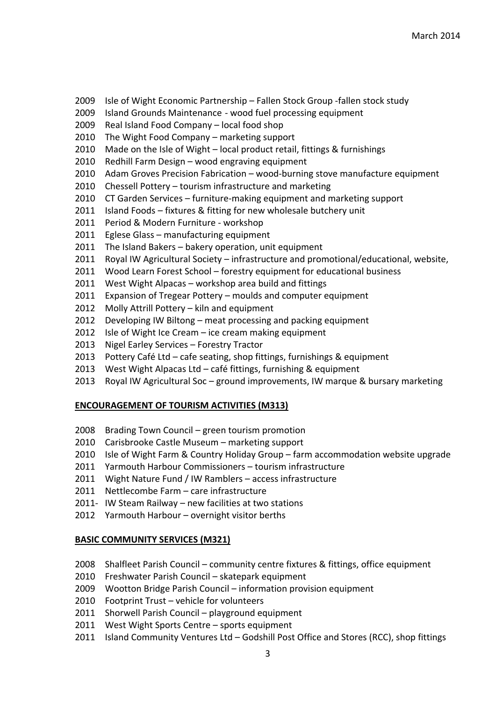- 2009 Isle of Wight Economic Partnership Fallen Stock Group -fallen stock study
- 2009 Island Grounds Maintenance wood fuel processing equipment
- 2009 Real Island Food Company local food shop
- 2010 The Wight Food Company marketing support
- 2010 Made on the Isle of Wight local product retail, fittings & furnishings
- 2010 Redhill Farm Design wood engraving equipment
- 2010 Adam Groves Precision Fabrication wood-burning stove manufacture equipment
- 2010 Chessell Pottery tourism infrastructure and marketing
- 2010 CT Garden Services furniture-making equipment and marketing support
- 2011 Island Foods fixtures & fitting for new wholesale butchery unit
- 2011 Period & Modern Furniture workshop
- 2011 Eglese Glass manufacturing equipment
- 2011 The Island Bakers bakery operation, unit equipment
- 2011 Royal IW Agricultural Society infrastructure and promotional/educational, website,
- 2011 Wood Learn Forest School forestry equipment for educational business
- 2011 West Wight Alpacas workshop area build and fittings
- 2011 Expansion of Tregear Pottery moulds and computer equipment
- 2012 Molly Attrill Pottery kiln and equipment
- 2012 Developing IW Biltong meat processing and packing equipment
- 2012 Isle of Wight Ice Cream ice cream making equipment
- 2013 Nigel Earley Services Forestry Tractor
- 2013 Pottery Café Ltd cafe seating, shop fittings, furnishings & equipment
- 2013 West Wight Alpacas Ltd café fittings, furnishing & equipment
- 2013 Royal IW Agricultural Soc ground improvements, IW marque & bursary marketing

# **ENCOURAGEMENT OF TOURISM ACTIVITIES (M313)**

- 2008 Brading Town Council green tourism promotion
- 2010 Carisbrooke Castle Museum marketing support
- 2010 Isle of Wight Farm & Country Holiday Group farm accommodation website upgrade
- 2011 Yarmouth Harbour Commissioners tourism infrastructure
- 2011 Wight Nature Fund / IW Ramblers access infrastructure
- 2011 Nettlecombe Farm care infrastructure
- 2011- IW Steam Railway new facilities at two stations
- 2012 Yarmouth Harbour overnight visitor berths

# **BASIC COMMUNITY SERVICES (M321)**

- 2008 Shalfleet Parish Council community centre fixtures & fittings, office equipment
- 2010 Freshwater Parish Council skatepark equipment
- 2009 Wootton Bridge Parish Council information provision equipment
- 2010 Footprint Trust vehicle for volunteers
- 2011 Shorwell Parish Council playground equipment
- 2011 West Wight Sports Centre sports equipment
- 2011 Island Community Ventures Ltd Godshill Post Office and Stores (RCC), shop fittings